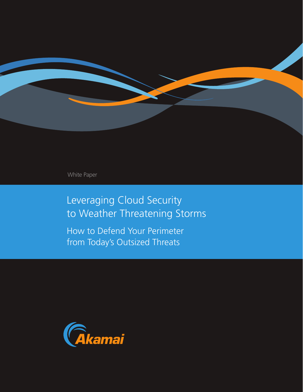

White Paper

Leveraging Cloud Security to Weather Threatening Storms

How to Defend Your Perimeter from Today's Outsized Threats

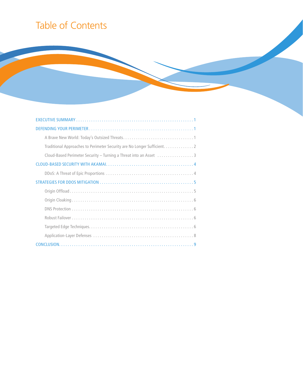# Table of Contents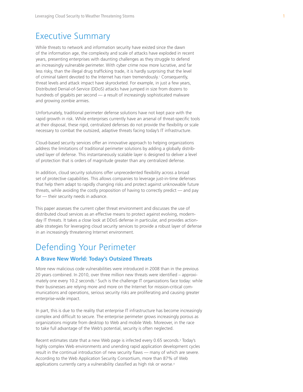### Executive Summary

While threats to network and information security have existed since the dawn of the information age, the complexity and scale of attacks have exploded in recent years, presenting enterprises with daunting challenges as they struggle to defend an increasingly vulnerable perimeter. With cyber crime now more lucrative, and far less risky, than the illegal drug trafficking trade, it is hardly surprising that the level of criminal talent devoted to the Internet has risen tremendously.<sup>1</sup> Consequently, threat levels and attack impact have skyrocketed. For example, in just a few years, Distributed Denial-of-Service (DDoS) attacks have jumped in size from dozens to hundreds of gigabits per second — a result of increasingly sophisticated malware and growing zombie armies.

Unfortunately, traditional perimeter defense solutions have not kept pace with the rapid growth in risk. While enterprises currently have an arsenal of threat-specific tools at their disposal, these rigid, centralized defenses do not provide the flexibility or scale necessary to combat the outsized, adaptive threats facing today's IT infrastructure.

Cloud-based security services offer an innovative approach to helping organizations address the limitations of traditional perimeter solutions by adding a globally distributed layer of defense. This instantaneously scalable layer is designed to deliver a level of protection that is orders of magnitude greater than any centralized defense.

In addition, cloud security solutions offer unprecedented flexibility across a broad set of protective capabilities. This allows companies to leverage just-in-time defenses that help them adapt to rapidly changing risks and protect against unknowable future threats, while avoiding the costly proposition of having to correctly predict — and pay for — their security needs in advance.

This paper assesses the current cyber threat environment and discusses the use of distributed cloud services as an effective means to protect against evolving, modernday IT threats. It takes a close look at DDoS defense in particular, and provides actionable strategies for leveraging cloud security services to provide a robust layer of defense in an increasingly threatening Internet environment.

### Defending Your Perimeter

#### **A Brave New World: Today's Outsized Threats**

More new malicious code vulnerabilities were introduced in 2008 than in the previous 20 years combined. In 2010, over three million new threats were identified – approximately one every 10.2 seconds.<sup>2</sup> Such is the challenge IT organizations face today: while their businesses are relying more and more on the Internet for mission-critical communications and operations, serious security risks are proliferating and causing greater enterprise-wide impact.

In part, this is due to the reality that enterprise IT infrastructure has become increasingly complex and difficult to secure. The enterprise perimeter grows increasingly porous as organizations migrate from desktop to Web and mobile Web. Moreover, in the race to take full advantage of the Web's potential, security is often neglected.

Recent estimates state that a new Web page is infected every 0.65 seconds.<sup>3</sup> Today's highly complex Web environments and unending rapid application development cycles result in the continual introduction of new security flaws — many of which are severe. According to the Web Application Security Consortium, more than 87% of Web applications currently carry a vulnerability classified as high risk or worse.<sup>4</sup>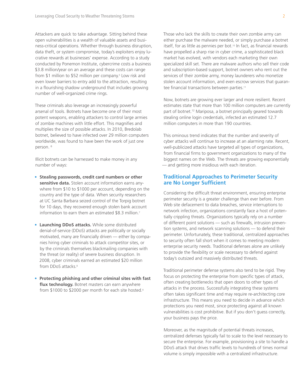Attackers are quick to take advantage. Sitting behind these open vulnerabilities is a wealth of valuable assets and business-critical operations. Whether through business disruption, data theft, or system compromise, today's exploiters enjoy lucrative rewards at businesses' expense. According to a study conducted by Ponemon Institute, cybercrime costs a business \$3.8 million/year on an average and these costs can range from \$1 million to \$52 million per company.<sup>5</sup> Low risk and even lower barriers to entry add to the attraction, resulting in a flourishing shadow underground that includes growing number of well-organized crime rings.

These criminals also leverage an increasingly powerful arsenal of tools. Botnets have become one of their most potent weapons, enabling attackers to control large armies of zombie machines with little effort. This magnifies and multiplies the size of possible attacks. In 2010, Bredolab botnet, believed to have infected over 29 million computers worldwide, was found to have been the work of just one person.<sup>6</sup>

Illicit botnets can be harnessed to make money in any number of ways:

- • **Stealing passwords, credit card numbers or other sensitive data.** Stolen account information earns anywhere from \$10 to \$1000 per account, depending on the country and the type of data. When security researchers at UC Santa Barbara seized control of the Torpig botnet for 10 days, they recovered enough stolen bank account information to earn them an estimated \$8.3 million.<sup>7</sup>
- **Launching DDoS attacks.** While some distributed denial-of-service (DDoS) attacks are politically or socially motivated, many are financially driven — either by companies hiring cyber criminals to attack competitor sites, or by the criminals themselves blackmailing companies with the threat (or reality) of severe business disruption. In 2008, cyber criminals earned an estimated \$20 million from DDoS attacks.<sup>8</sup>
- **Protecting phishing and other criminal sites with fast flux technology.** Botnet masters can earn anywhere from \$1000 to \$2000 per month for each site hosted.9

Those who lack the skills to create their own zombie army can either purchase the malware needed, or simply purchase a botnet itself, for as little as pennies per bot.<sup>10</sup> In fact, as financial rewards have propelled a sharp rise in cyber crime, a sophisticated black market has evolved, with vendors each marketing their own specialized skill set. There are malware authors who sell their code and subscription-based support, botnet owners who rent out the services of their zombie army, money launderers who monetize stolen account information, and even escrow services that guarantee financial transactions between parties.11

Now, botnets are growing ever larger and more resilient. Recent estimates state that more than 100 million computers are currently part of botnet.<sup>12</sup> Mariposa, a botnet principally geared towards stealing online login credentials, infected an estimated 12.7 million computers in more than 190 countries.

This ominous trend indicates that the number and severity of cyber attacks will continue to increase at an alarming rate. Recent, well-publicized attacks have targeted all types of organizations, from financial firms to government organizations to many of the biggest names on the Web. The threats are growing exponentially — and getting more insidious with each iteration.

#### **Traditional Approaches to Perimeter Security are No Longer Sufficient**

Considering the difficult threat environment, ensuring enterprise perimeter security is a greater challenge than ever before. From Web site defacement to data breaches, service interruptions to network infection, organizations constantly face a host of potentially crippling threats. Organizations typically rely on a number of different point solutions — such as firewalls, intrusion prevention systems, and network scanning solutions — to defend their perimeter. Unfortunately, these traditional, centralized approaches to security often fall short when it comes to meeting modern enterprise security needs. Traditional defenses alone are unlikely to provide the flexibility or scale necessary to defend against today's outsized and massively distributed threats.

Traditional perimeter defense systems also tend to be rigid. They focus on protecting the enterprise from specific types of attack, often creating bottlenecks that open doors to other types of attacks in the process. Successfully integrating these systems often takes significant time and may require re-architecting core infrastructure. This means you need to decide in advance which protections you need most, since protecting against all known vulnerabilities is cost prohibitive. But if you don't guess correctly, your business pays the price.

Moreover, as the magnitude of potential threats increases, centralized defenses typically fail to scale to the level necessary to secure the enterprise. For example, provisioning a site to handle a DDoS attack that drives traffic levels to hundreds of times normal volume is simply impossible with a centralized infrastructure.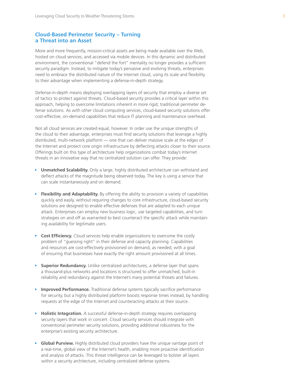#### **Cloud-Based Perimeter Security – Turning a Threat into an Asset**

More and more frequently, mission-critical assets are being made available over the Web, hosted on cloud services, and accessed via mobile devices. In this dynamic and distributed environment, the conventional "defend the fort" mentality no longer provides a sufficient security paradigm. Instead, to mitigate today's pervasive and evolving threats, enterprises need to embrace the distributed nature of the Internet cloud, using its scale and flexibility to their advantage when implementing a defense-in-depth strategy.

Defense-in-depth means deploying overlapping layers of security that employ a diverse set of tactics to protect against threats. Cloud-based security provides a critical layer within this approach, helping to overcome limitations inherent in more rigid, traditional perimeter defense solutions. As with other cloud computing services, cloud-based security solutions offer cost-effective, on-demand capabilities that reduce IT planning and maintenance overhead.

Not all cloud services are created equal, however. In order use the unique strengths of the cloud to their advantage, enterprises must find security solutions that leverage a highly distributed, multi-network platform — one that can deliver massive scale at the edges of the Internet and protect core origin infrastructure by deflecting attacks closer to their source. Offerings built on this type of architecture help organizations combat today's Internet threats in an innovative way that no centralized solution can offer. They provide:

- **Unmatched Scalability.** Only a large, highly distributed architecture can withstand and deflect attacks of the magnitude being observed today. The key is using a service that can scale instantaneously and on demand.
- **Flexibility and Adaptability.** By offering the ability to provision a variety of capabilities quickly and easily, without requiring changes to core infrastructure, cloud-based security solutions are designed to enable effective defenses that are adapted to each unique attack. Enterprises can employ new business logic, use targeted capabilities, and turn strategies on and off as warranted to best counteract the specific attack while maintaining availability for legitimate users.
- **Cost Efficiency.** Cloud services help enable organizations to overcome the costly problem of "guessing right" in their defense and capacity planning. Capabilities and resources are cost-effectively provisioned on demand, as needed, with a goal of ensuring that businesses have exactly the right amount provisioned at all times.
- **Superior Redundancy.** Unlike centralized architectures, a defense layer that spans a thousand-plus networks and locations is structured to offer unmatched, built-in reliability and redundancy against the Internet's many potential threats and failures.
- **Improved Performance.** Traditional defense systems typically sacrifice performance for security, but a highly distributed platform boosts response times instead, by handling requests at the edge of the Internet and counteracting attacks at their source.
- **Holistic Integration.** A successful defense-in-depth strategy requires overlapping security layers that work in concert. Cloud security services should integrate with conventional perimeter security solutions, providing additional robustness for the enterprise's existing security architecture.
- **Global Purview.** Highly distributed cloud providers have the unique vantage point of a real-time, global view of the Internet's health, enabling more proactive identification and analysis of attacks. This threat intelligence can be leveraged to bolster all layers within a security architecture, including centralized defense systems.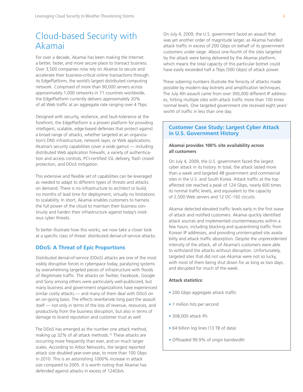## Cloud-based Security with Akamai

For over a decade, Akamai has been making the Internet a better, faster, and more secure place to transact business. Over 3,500 companies now rely on Akamai to secure and accelerate their business-critical online transactions through its EdgePlatform, the world's largest distributed computing network. Comprised of more than 90,000 servers across approximately 1,000 networks in 71 countries worldwide, the EdgePlatform currently delivers approximately 20% of all Web traffic at an aggregate rate ranging over 4 Tbps.

Designed with security, resilience, and fault-tolerance at the forefront, the EdgePlatform is a proven platform for providing intelligent, scalable, edge-based defenses that protect against a broad range of attacks, whether targeted at an organization's DNS infrastructure, network layer, or Web applications. Akamai's security capabilities cover a wide gamut — including distributed Web application firewalls, a variety of authentication and access controls, PCI-certified SSL delivery, flash crowd protection, and DDoS mitigation.

This extensive and flexible set of capabilities can be leveraged as needed to adapt to different types of threats and attacks on demand. There is no infrastructure to architect or build, no months of lead time for deployment, virtually no limitations to scalability. In short, Akamai enables customers to harness the full power of the cloud to maintain their business continuity and harden their infrastructure against today's insidious cyber threats.

To better illustrate how this works, we now take a closer look at a specific class of threat: distributed denial-of-service attacks.

### **DDoS: A Threat of Epic Proportions**

Distributed denial-of-service (DDoS) attacks are one of the most visibly disruptive forces in cyberspace today, paralyzing systems by overwhelming targeted pieces of infrastructure with floods of illegitimate traffic. The attacks on Twitter, Facebook, Google and Sony among others were particularly well-publicized, but many business and government organizations have experienced similar costly attacks — and many of them deal with DDoS on an on-going basis. The effects reverberate long past the assault itself — not only in terms of the loss of revenue, resources, and productivity from the business disruption, but also in terms of damage to brand reputation and customer trust as well.

The DDoS has emerged as the number one attack method, making up 32% of all attack methods.13 These attacks are occurring more frequently than ever, and on much larger scales. According to Arbor Networks, the largest reported attack size doubled year-over-year, to more than 100 Gbps in 2010. This is an astonishing 1000% increase in attack size compared to 2005. It is worth noting that Akamai has defended against attacks in excess of 124Gb/s.

On July 4, 2009, the U.S. government faced an assault that was yet another order of magnitude larger, as Akamai handled attack traffic in excess of 200 Gbps on behalf of its government customers under siege. About one-fourth of the sites targeted by the attack were being delivered by the Akamai platform, which means the total capacity of this particular botnet could have easily exceeded half a Tbps (500 Gbps) of attack power.

These sobering numbers illustrate the ferocity of attacks made possible by modern-day botnets and amplification techniques. The July 4th assault came from over 300,000 different IP addresses, hitting multiple sites with attack traffic more than 100 times normal levels. One targeted government site received eight years' worth of traffic in less than one day.

#### **Customer Case Study: Largest Cyber Attack in U.S. Government History**

#### **Akamai provides 100% site availability across all customers**

 On July 4, 2009, the U.S. government faced the largest cyber attack in its history. In total, the attack lasted more than a week and targeted 48 government and commercial sites in the U.S. and South Korea. Attack traffic at the top affected site reached a peak of 124 Gbps, nearly 600 times its normal traffic levels, and equivalent to the capacity of 2,500 Web servers and 12 OC-192 circuits.

 Akamai detected elevated traffic levels early in the first wave of attack and notified customers. Akamai quickly identified attack sources and implemented countermeasures within a few hours, including blocking and quarantining traffic from Korean IP addresses, and providing uninterrupted site availability and attack traffic absorption. Despite the unprecedented intensity of the attack, all of Akamai's customers were able to withstand the attacks without disruption. Unfortunately, targeted sites that did not use Akamai were not so lucky, with most of them being shut down for as long as two days, and disrupted for much of the week.

#### **Attack statistics:**

- 200 Gbps aggregate attack traffic
- 1 million hits per second
- 308,000 attack IPs
- 64 billion log lines (13 TB of data)
- Offloaded 99.9% of origin bandwidth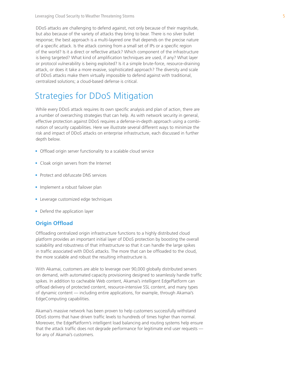DDoS attacks are challenging to defend against, not only because of their magnitude, but also because of the variety of attacks they bring to bear. There is no silver bullet response; the best approach is a multi-layered one that depends on the precise nature of a specific attack. Is the attack coming from a small set of IPs or a specific region of the world? Is it a direct or reflective attack? Which component of the infrastructure is being targeted? What kind of amplification techniques are used, if any? What layer or protocol vulnerability is being exploited? Is it a simple brute-force, resource-draining attack, or does it take a more evasive, sophisticated approach? The diversity and scale of DDoS attacks make them virtually impossible to defend against with traditional, centralized solutions; a cloud-based defense is critical.

### Strategies for DDoS Mitigation

While every DDoS attack requires its own specific analysis and plan of action, there are a number of overarching strategies that can help. As with network security in general, effective protection against DDoS requires a defense-in-depth approach using a combination of security capabilities. Here we illustrate several different ways to minimize the risk and impact of DDoS attacks on enterprise infrastructure, each discussed in further depth below.

- Offload origin server functionality to a scalable cloud service
- Cloak origin servers from the Internet
- Protect and obfuscate DNS services
- Implement a robust failover plan
- Leverage customized edge techniques
- Defend the application layer

#### **Origin Offload**

Offloading centralized origin infrastructure functions to a highly distributed cloud platform provides an important initial layer of DDoS protection by boosting the overall scalability and robustness of that infrastructure so that it can handle the large spikes in traffic associated with DDoS attacks. The more that can be offloaded to the cloud, the more scalable and robust the resulting infrastructure is.

With Akamai, customers are able to leverage over 90,000 globally distributed servers on demand, with automated capacity provisioning designed to seamlessly handle traffic spikes. In addition to cacheable Web content, Akamai's intelligent EdgePlatform can offload delivery of protected content, resource-intensive SSL content, and many types of dynamic content — including entire applications, for example, through Akamai's EdgeComputing capabilities.

Akamai's massive network has been proven to help customers successfully withstand DDoS storms that have driven traffic levels to hundreds of times higher than normal. Moreover, the EdgePlatform's intelligent load balancing and routing systems help ensure that the attack traffic does not degrade performance for legitimate end user requests for any of Akamai's customers.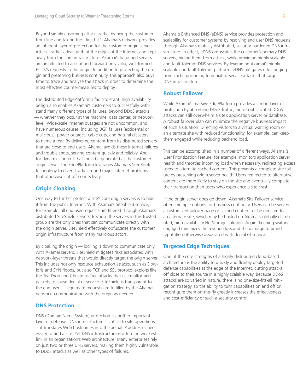Beyond simply absorbing attack traffic, by being the customer front line and taking the "first hit", Akamai's network provides an inherent layer of protection for the customer origin servers. Attack traffic is dealt with at the edges of the Internet and kept away from the core infrastructure. Akamai's hardened servers are architected to accept and forward only valid, well-formed HTTP/S requests to the origin. In addition to protecting the origin and preserving business continuity, this approach also buys time to trace and analyze the attack in order to determine the most effective countermeasures to deploy.

The distributed EdgePlatform's fault-tolerant, high availability design also enables Akamai's customers to successfully withstand many different types of failures, beyond DDoS attacks — whether they occur at the machine, data center, or network level. Wide-scale Internet outages are not uncommon, and have numerous causes, including BGP failures (accidental or malicious), power outages, cable cuts, and natural disasters, to name a few. By delivering content from its distributed servers that are close to end users, Akamai avoids these Internet failures and trouble spots, serving content quickly and reliably. And for dynamic content that must be generated at the customer origin server, the EdgePlatform leverages Akamai's SureRoute technology to divert traffic around major Internet problems that otherwise cut off connectivity.

#### **Origin Cloaking**

One way to further protect a site's core origin servers is to hide it from the public Internet. With Akamai's SiteShield service, for example, all end user requests are filtered through Akamai's distributed SiteShield servers. Because the servers in this trusted group are the only ones that can communicate directly with the origin server, SiteShield effectively obfuscates the customer origin infrastructure from many malicious actors.

By cloaking the origin — locking it down to communicate only with Akamai servers, SiteShield mitigates risks associated with network-layer threats that would directly target the origin server. This includes not only resource exhaustion attacks, such as Slowloris and SYN floods, but also TCP and SSL protocol exploits like the TearDrop and Christmas Tree attacks that use malformed packets to cause denial of service. SiteShield is transparent to the end user — legitimate requests are fulfilled by the Akamai network, communicating with the origin as needed.

#### **DNS Protection**

DNS (Domain Name System) protection is another important layer of defense. DNS infrastructure is critical to site operations — it translates Web hostnames into the actual IP addresses necessary to find a site. Yet DNS infrastructure is often the weakest link in an organization's Web architecture. Many enterprises rely on just two or three DNS servers, making them highly vulnerable to DDoS attacks as well as other types of failures.

Akamai's Enhanced DNS (eDNS) service provides protection and scalability for customer systems by resolving end user DNS requests through Akamai's globally distributed, security-hardened DNS infrastructure. In effect, eDNS obfuscates the customer's primary DNS servers, hiding them from attack, while providing highly scalable and fault-tolerant DNS services. By leveraging Akamai's highly scalable and fault-tolerant platform, eDNS mitigates risks ranging from cache poisoning to denial-of-service attacks that target DNS infrastructure.

#### **Robust Failover**

While Akamai's massive EdgePlatform provides a strong layer of protection by absorbing DDoS traffic, more sophisticated DDoS attacks can still overwhelm a site's application server or database. A robust failover plan can minimize the negative business impact of such a situation. Directing visitors to a virtual waiting room or an alternate site with reduced functionality, for example, can keep them engaged while reducing backend load.

This can be accomplished in a number of different ways. Akamai's User Prioritization feature, for example, monitors application server health and throttles incoming load when necessary, redirecting excess users to alternate cached content. This prevents a complete site failure by preserving origin server health. Users redirected to alternative content are more likely to stay on the site and eventually complete their transaction than users who experience a site crash.

If the origin server does go down, Akamai's Site Failover service offers multiple options for business continuity. Users can be served a customized failover page or cached content, or be directed to an alternate site, which may be hosted on Akamai's globally distributed, high-availability NetStorage solution. Again, keeping visitors engaged minimizes the revenue loss and the damage to brand reputation otherwise associated with denial of service.

#### **Targeted Edge Techniques**

One of the core strengths of a highly distributed cloud-based architecture is the ability to quickly and flexibly deploy targeted defense capabilities at the edge of the Internet, cutting attacks off close to their source in a highly scalable way. Because DDoS attacks are so varied in nature, there is no one-size-fits-all mitigation strategy, so the ability to turn capabilities on and off or reconfigure them on-the-fly greatly increases the effectiveness and cost-efficiency of such a security control.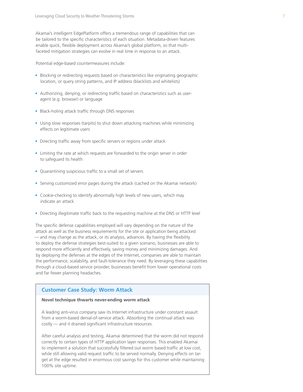Akamai's intelligent EdgePlatform offers a tremendous range of capabilities that can be tailored to the specific characteristics of each situation. Metadata-driven features enable quick, flexible deployment across Akamai's global platform, so that multifaceted mitigation strategies can evolve in real time in response to an attack.

Potential edge-based countermeasures include:

- Blocking or redirecting requests based on characteristics like originating geographic location, or query string patterns, and IP address (blacklists and whitelists)
- Authorizing, denying, or redirecting traffic based on characteristics such as useragent (e.g. browser) or language
- Black-holing attack traffic through DNS responses
- Using slow responses (tarpits) to shut down attacking machines while minimizing effects on legitimate users
- Directing traffic away from specific servers or regions under attack
- Limiting the rate at which requests are forwarded to the origin server in order to safeguard its health
- Quarantining suspicious traffic to a small set of servers
- Serving customized error pages during the attack (cached on the Akamai network)
- Cookie-checking to identify abnormally high levels of new users, which may indicate an attack
- Directing illegitimate traffic back to the requesting machine at the DNS or HTTP level

The specific defense capabilities employed will vary depending on the nature of the attack as well as the business requirements for the site or application being attacked — and may change as the attack, or its analysis, advances. By having the flexibility to deploy the defense strategies best-suited to a given scenario, businesses are able to respond more efficiently and effectively, saving money and minimizing damages. And by deploying the defenses at the edges of the Internet, companies are able to maintain the performance, scalability, and fault-tolerance they need. By leveraging these capabilities through a cloud-based service provider, businesses benefit from lower operational costs and far fewer planning headaches.

#### **Customer Case Study: Worm Attack**

#### **Novel technique thwarts never-ending worm attack**

 A leading anti-virus company saw its Internet infrastructure under constant assault from a worm-based denial-of-service attack. Absorbing the continual attack was costly — and it drained significant infrastructure resources.

 After careful analysis and testing, Akamai determined that the worm did not respond correctly to certain types of HTTP application layer responses. This enabled Akamai to implement a solution that successfully filtered out worm based traffic at low cost, while still allowing valid request traffic to be served normally. Denying effects on target at the edge resulted in enormous cost savings for this customer while maintaining 100% site uptime.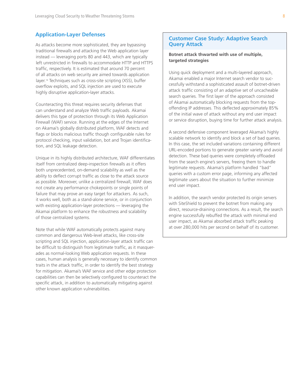#### **Application-Layer Defenses**

As attacks become more sophisticated, they are bypassing traditional firewalls and attacking the Web application layer instead — leveraging ports 80 and 443, which are typically left unrestricted in firewalls to accommodate HTTP and HTTPS traffic, respectively. It is estimated that around 70 percent of all attacks on web security are aimed towards application layer.14 Techniques such as cross-site scripting (XSS), buffer overflow exploits, and SQL injection are used to execute highly disruptive application-layer attacks.

Counteracting this threat requires security defenses that can understand and analyze Web traffic payloads. Akamai delivers this type of protection through its Web Application Firewall (WAF) service. Running at the edges of the Internet on Akamai's globally distributed platform, WAF detects and flags or blocks malicious traffic though configurable rules for protocol checking, input validation, bot and Trojan identification, and SQL leakage detection.

Unique in its highly distributed architecture, WAF differentiates itself from centralized deep-inspection firewalls as it offers both unprecedented, on-demand scalability as well as the ability to deflect corrupt traffic as close to the attack source as possible. Moreover, unlike a centralized firewall, WAF does not create any performance chokepoints or single points of failure that may prove an easy target for attackers. As such, it works well, both as a stand-alone service, or in conjunction with existing application-layer protections — leveraging the Akamai platform to enhance the robustness and scalability of those centralized systems.

Note that while WAF automatically protects against many common and dangerous Web-level attacks, like cross-site scripting and SQL injection, application-layer attack traffic can be difficult to distinguish from legitimate traffic, as it masquerades as normal-looking Web application requests. In these cases, human analysis is generally necessary to identify common traits in the attack traffic, in order to identify the best strategy for mitigation. Akamai's WAF service and other edge protection capabilities can then be selectively configured to counteract the specific attack, in addition to automatically mitigating against other known application vulnerabilities.

#### **Customer Case Study: Adaptive Search Query Attack**

#### **Botnet attack thwarted with use of multiple, targeted strategies**

 Using quick deployment and a multi-layered approach, Akamai enabled a major Internet search vendor to successfully withstand a sophisticated assault of botnet-driven attack traffic consisting of an adaptive set of uncacheable search queries. The first layer of the approach consisted of Akamai automatically blocking requests from the topoffending IP addresses. This deflected approximately 85% of the initial wave of attack without any end user impact or service disruption, buying time for further attack analysis.

 A second defensive component leveraged Akamai's highly scalable network to identify and block a set of bad queries. In this case, the set included variations containing different URL-encoded portions to generate greater variety and avoid detection. These bad queries were completely offloaded from the search engine's servers, freeing them to handle legitimate requests. Akamai's platform handled "bad" queries with a custom error page, informing any affected legitimate users about the situation to further minimize end user impact.

 In addition, the search vendor protected its origin servers with SiteShield to prevent the botnet from making any direct, resource-draining connections. As a result, the search engine successfully rebuffed the attack with minimal end user impact, as Akamai absorbed attack traffic peaking at over 280,000 hits per second on behalf of its customer.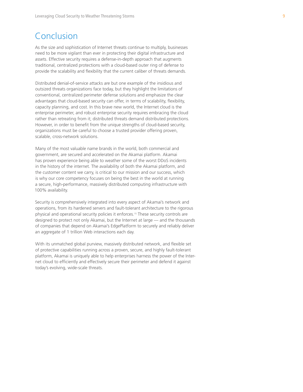### Conclusion

As the size and sophistication of Internet threats continue to multiply, businesses need to be more vigilant than ever in protecting their digital infrastructure and assets. Effective security requires a defense-in-depth approach that augments traditional, centralized protections with a cloud-based outer ring of defense to provide the scalability and flexibility that the current caliber of threats demands.

Distributed denial-of-service attacks are but one example of the insidious and outsized threats organizations face today, but they highlight the limitations of conventional, centralized perimeter defense solutions and emphasize the clear advantages that cloud-based security can offer, in terms of scalability, flexibility, capacity planning, and cost. In this brave new world, the Internet cloud is the enterprise perimeter, and robust enterprise security requires embracing the cloud rather than retreating from it; distributed threats demand distributed protections. However, in order to benefit from the unique strengths of cloud-based security, organizations must be careful to choose a trusted provider offering proven, scalable, cross-network solutions.

Many of the most valuable name brands in the world, both commercial and government, are secured and accelerated on the Akamai platform. Akamai has proven experience being able to weather some of the worst DDoS incidents in the history of the internet. The availability of both the Akamai platform, and the customer content we carry, is critical to our mission and our success, which is why our core competency focuses on being the best in the world at running a secure, high-performance, massively distributed computing infrastructure with 100% availability.

Security is comprehensively integrated into every aspect of Akamai's network and operations, from its hardened servers and fault-tolerant architecture to the rigorous physical and operational security policies it enforces.15 These security controls are designed to protect not only Akamai, but the Internet at large — and the thousands of companies that depend on Akamai's EdgePlatform to securely and reliably deliver an aggregate of 1 trillion Web interactions each day.

With its unmatched global purview, massively distributed network, and flexible set of protective capabilities running across a proven, secure, and highly fault-tolerant platform, Akamai is uniquely able to help enterprises harness the power of the Internet cloud to efficiently and effectively secure their perimeter and defend it against today's evolving, wide-scale threats.